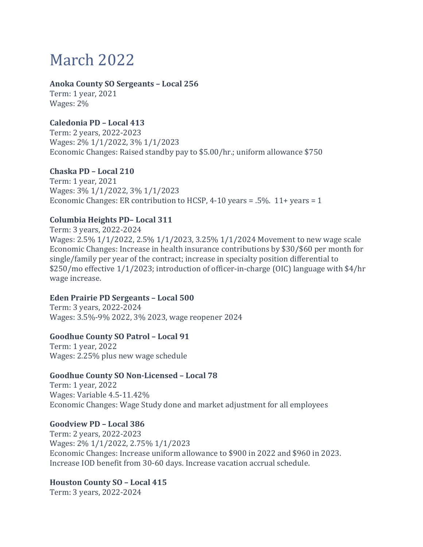# March 2022

#### **Anoka County SO Sergeants – Local 256**

Term: 1 year, 2021 Wages: 2%

## **Caledonia PD – Local 413**

Term: 2 years, 2022-2023 Wages: 2% 1/1/2022, 3% 1/1/2023 Economic Changes: Raised standby pay to \$5.00/hr.; uniform allowance \$750

## **Chaska PD – Local 210**

Term: 1 year, 2021 Wages: 3% 1/1/2022, 3% 1/1/2023 Economic Changes: ER contribution to HCSP, 4-10 years = .5%. 11+ years = 1

## **Columbia Heights PD– Local 311**

Term: 3 years, 2022-2024 Wages: 2.5% 1/1/2022, 2.5% 1/1/2023, 3.25% 1/1/2024 Movement to new wage scale Economic Changes: Increase in health insurance contributions by \$30/\$60 per month for single/family per year of the contract; increase in specialty position differential to \$250/mo effective 1/1/2023; introduction of officer-in-charge (OIC) language with \$4/hr wage increase.

## **Eden Prairie PD Sergeants – Local 500**

Term: 3 years, 2022-2024 Wages: 3.5%-9% 2022, 3% 2023, wage reopener 2024

## **Goodhue County SO Patrol – Local 91**

Term: 1 year, 2022 Wages: 2.25% plus new wage schedule

## **Goodhue County SO Non-Licensed – Local 78**

Term: 1 year, 2022 Wages: Variable 4.5-11.42% Economic Changes: Wage Study done and market adjustment for all employees

## **Goodview PD – Local 386**

Term: 2 years, 2022-2023 Wages: 2% 1/1/2022, 2.75% 1/1/2023 Economic Changes: Increase uniform allowance to \$900 in 2022 and \$960 in 2023. Increase IOD benefit from 30-60 days. Increase vacation accrual schedule.

#### **Houston County SO – Local 415**

Term: 3 years, 2022-2024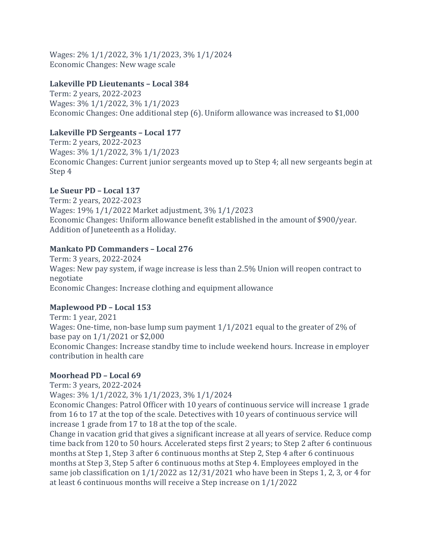Wages: 2% 1/1/2022, 3% 1/1/2023, 3% 1/1/2024 Economic Changes: New wage scale

#### **Lakeville PD Lieutenants – Local 384**

Term: 2 years, 2022-2023 Wages: 3% 1/1/2022, 3% 1/1/2023 Economic Changes: One additional step (6). Uniform allowance was increased to \$1,000

## **Lakeville PD Sergeants – Local 177**

Term: 2 years, 2022-2023 Wages: 3% 1/1/2022, 3% 1/1/2023 Economic Changes: Current junior sergeants moved up to Step 4; all new sergeants begin at Step 4

## **Le Sueur PD – Local 137**

Term: 2 years, 2022-2023 Wages: 19% 1/1/2022 Market adjustment, 3% 1/1/2023 Economic Changes: Uniform allowance benefit established in the amount of \$900/year. Addition of Juneteenth as a Holiday.

## **Mankato PD Commanders – Local 276**

Term: 3 years, 2022-2024 Wages: New pay system, if wage increase is less than 2.5% Union will reopen contract to negotiate Economic Changes: Increase clothing and equipment allowance

## **Maplewood PD – Local 153**

Term: 1 year, 2021 Wages: One-time, non-base lump sum payment 1/1/2021 equal to the greater of 2% of base pay on 1/1/2021 or \$2,000 Economic Changes: Increase standby time to include weekend hours. Increase in employer contribution in health care

## **Moorhead PD – Local 69**

Term: 3 years, 2022-2024

Wages: 3% 1/1/2022, 3% 1/1/2023, 3% 1/1/2024

Economic Changes: Patrol Officer with 10 years of continuous service will increase 1 grade from 16 to 17 at the top of the scale. Detectives with 10 years of continuous service will increase 1 grade from 17 to 18 at the top of the scale.

Change in vacation grid that gives a significant increase at all years of service. Reduce comp time back from 120 to 50 hours. Accelerated steps first 2 years; to Step 2 after 6 continuous months at Step 1, Step 3 after 6 continuous months at Step 2, Step 4 after 6 continuous months at Step 3, Step 5 after 6 continuous moths at Step 4. Employees employed in the same job classification on 1/1/2022 as 12/31/2021 who have been in Steps 1, 2, 3, or 4 for at least 6 continuous months will receive a Step increase on 1/1/2022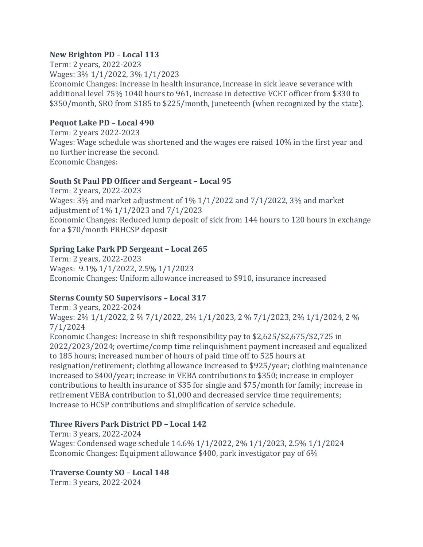#### **New Brighton PD – Local 113**

Term: 2 years, 2022-2023 Wages: 3% 1/1/2022, 3% 1/1/2023 Economic Changes: Increase in health insurance, increase in sick leave severance with additional level 75% 1040 hours to 961, increase in detective VCET officer from \$330 to \$350/month, SRO from \$185 to \$225/month, Juneteenth (when recognized by the state).

## **Pequot Lake PD – Local 490**

Term: 2 years 2022-2023 Wages: Wage schedule was shortened and the wages ere raised 10% in the first year and no further increase the second. Economic Changes:

## **South St Paul PD Officer and Sergeant – Local 95**

Term: 2 years, 2022-2023 Wages: 3% and market adjustment of 1% 1/1/2022 and 7/1/2022, 3% and market adjustment of 1% 1/1/2023 and 7/1/2023 Economic Changes: Reduced lump deposit of sick from 144 hours to 120 hours in exchange for a \$70/month PRHCSP deposit

## **Spring Lake Park PD Sergeant – Local 265**

Term: 2 years, 2022-2023 Wages: 9.1% 1/1/2022, 2.5% 1/1/2023 Economic Changes: Uniform allowance increased to \$910, insurance increased

## **Sterns County SO Supervisors – Local 317**

Term: 3 years, 2022-2024 Wages: 2% 1/1/2022, 2 % 7/1/2022, 2% 1/1/2023, 2 % 7/1/2023, 2% 1/1/2024, 2 % 7/1/2024

Economic Changes: Increase in shift responsibility pay to \$2,625/\$2,675/\$2,725 in 2022/2023/2024; overtime/comp time relinquishment payment increased and equalized to 185 hours; increased number of hours of paid time off to 525 hours at resignation/retirement; clothing allowance increased to \$925/year; clothing maintenance increased to \$400/year; increase in VEBA contributions to \$350; increase in employer contributions to health insurance of \$35 for single and \$75/month for family; increase in retirement VEBA contribution to \$1,000 and decreased service time requirements; increase to HCSP contributions and simplification of service schedule.

## **Three Rivers Park District PD – Local 142**

Term: 3 years, 2022-2024 Wages: Condensed wage schedule 14.6% 1/1/2022, 2% 1/1/2023, 2.5% 1/1/2024 Economic Changes: Equipment allowance \$400, park investigator pay of 6%

## **Traverse County SO – Local 148**

Term: 3 years, 2022-2024